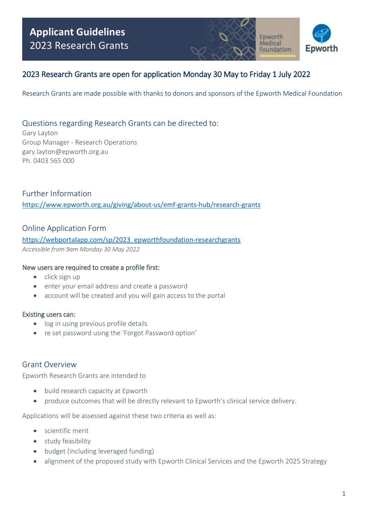

Epworth Medical Foundation

## 2023 Research Grants are open for application Monday 30 May to Friday 1 July 2022

Research Grants are made possible with thanks to donors and sponsors of the Epworth Medical Foundation

### Questions regarding Research Grants can be directed to:

Gary Layton Group Manager - Research Operations [gary.layton@epworth.org.au](mailto:gary.layton@epworth.org.au)  Ph. 0403 565 000

Further Information <https://www.epworth.org.au/giving/about-us/emf-grants-hub/research-grants>

### Online Application Form

https://webportalapp.com/sp/2023\_epworthfoundation-researchgrants *Accessible from 9am Monday 30 May 2022* 

#### New users are required to create a profile first:

- click sign up
- enter your email address and create a password
- account will be created and you will gain access to the portal

#### Existing users can:

- log in using previous profile details
- re set password using the 'Forgot Password option'

### Grant Overview

Epworth Research Grants are intended to

- build research capacity at Epworth
- produce outcomes that will be directly relevant to Epworth's clinical service delivery.

Applications will be assessed against these two criteria as well as:

- scientific merit
- study feasibility
- budget (including leveraged funding)
- alignment of the proposed study with Epworth Clinical Services and the Epworth 2025 Strategy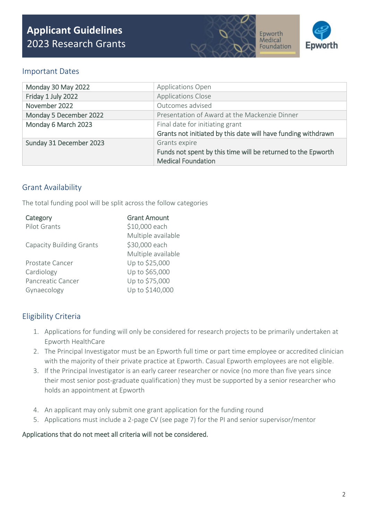



### Important Dates

| Monday 30 May 2022      | Applications Open                                             |  |
|-------------------------|---------------------------------------------------------------|--|
| Friday 1 July 2022      | <b>Applications Close</b>                                     |  |
| November 2022           | Outcomes advised                                              |  |
| Monday 5 December 2022  | Presentation of Award at the Mackenzie Dinner                 |  |
| Monday 6 March 2023     | Final date for initiating grant                               |  |
|                         | Grants not initiated by this date will have funding withdrawn |  |
| Sunday 31 December 2023 | Grants expire                                                 |  |
|                         | Funds not spent by this time will be returned to the Epworth  |  |
|                         | <b>Medical Foundation</b>                                     |  |

### Grant Availability

The total funding pool will be split across the follow categories

| <b>Grant Amount</b> |
|---------------------|
| \$10,000 each       |
| Multiple available  |
| \$30,000 each       |
| Multiple available  |
| Up to \$25,000      |
| Up to \$65,000      |
| Up to \$75,000      |
| Up to \$140,000     |
|                     |

## Eligibility Criteria

- 1. Applications for funding will only be considered for research projects to be primarily undertaken at Epworth HealthCare
- 2. The Principal Investigator must be an Epworth full time or part time employee or accredited clinician with the majority of their private practice at Epworth. Casual Epworth employees are not eligible.
- 3. If the Principal Investigator is an early career researcher or novice (no more than five years since their most senior post-graduate qualification) they must be supported by a senior researcher who holds an appointment at Epworth
- 4. An applicant may only submit one grant application for the funding round
- 5. Applications must include a 2-page CV (see page 7) for the PI and senior supervisor/mentor

#### Applications that do not meet all criteria will not be considered.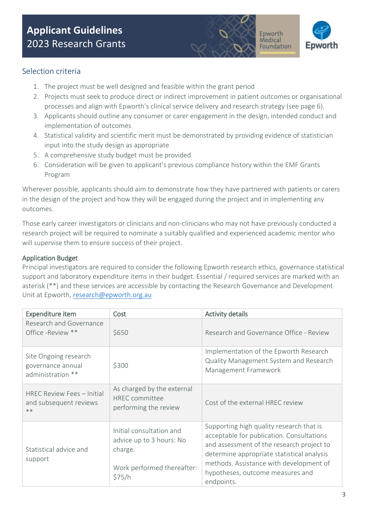



## Selection criteria

- 1. The project must be well designed and feasible within the grant period
- 2. Projects must seek to produce direct or indirect improvement in patient outcomes or organisational processes and align with Epworth's clinical service delivery and research strategy (see page 6).
- 3. Applicants should outline any consumer or carer engagement in the design, intended conduct and implementation of outcomes
- 4. Statistical validity and scientific merit must be demonstrated by providing evidence of statistician input into the study design as appropriate
- 5. A comprehensive study budget must be provided
- 6. Consideration will be given to applicant's previous compliance history within the EMF Grants Program

Wherever possible, applicants should aim to demonstrate how they have partnered with patients or carers in the design of the project and how they will be engaged during the project and in implementing any outcomes.

Those early career investigators or clinicians and non-clinicians who may not have previously conducted a research project will be required to nominate a suitably qualified and experienced academic mentor who will supervise them to ensure success of their project.

#### Application Budget

Principal investigators are required to consider the following Epworth research ethics, governance statistical support and laboratory expenditure items in their budget. Essential / required services are marked with an asterisk (\*\*) and these services are accessible by contacting the Research Governance and Development Unit at Epworth, [research@epworth.org.au](mailto:research@epworth.org.au) 

| Expenditure item                                                | Cost                                                                                                    | <b>Activity details</b>                                                                                                                                                                                                                                                       |
|-----------------------------------------------------------------|---------------------------------------------------------------------------------------------------------|-------------------------------------------------------------------------------------------------------------------------------------------------------------------------------------------------------------------------------------------------------------------------------|
| Research and Governance<br>Office -Review **                    | \$650                                                                                                   | Research and Governance Office - Review                                                                                                                                                                                                                                       |
| Site Ongoing research<br>governance annual<br>administration ** | \$300                                                                                                   | Implementation of the Epworth Research<br>Quality Management System and Research<br>Management Framework                                                                                                                                                                      |
| HREC Review Fees - Initial<br>and subsequent reviews<br>$**$    | As charged by the external<br><b>HREC</b> committee<br>performing the review                            | Cost of the external HREC review                                                                                                                                                                                                                                              |
| Statistical advice and<br>support                               | Initial consultation and<br>advice up to 3 hours: No<br>charge.<br>Work performed thereafter:<br>\$75/h | Supporting high quality research that is<br>acceptable for publication. Consultations<br>and assessment of the research project to<br>determine appropriate statistical analysis<br>methods. Assistance with development of<br>hypotheses, outcome measures and<br>endpoints. |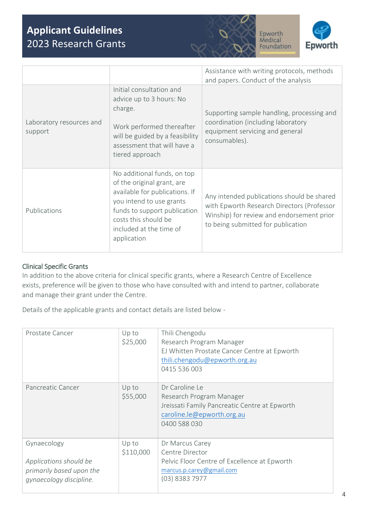



|                                     |                                                                                                                                                                                                                           | Assistance with writing protocols, methods<br>and papers. Conduct of the analysis                                                                                           |
|-------------------------------------|---------------------------------------------------------------------------------------------------------------------------------------------------------------------------------------------------------------------------|-----------------------------------------------------------------------------------------------------------------------------------------------------------------------------|
| Laboratory resources and<br>support | Initial consultation and<br>advice up to 3 hours: No<br>charge.<br>Work performed thereafter<br>will be guided by a feasibility<br>assessment that will have a<br>tiered approach                                         | Supporting sample handling, processing and<br>coordination (including laboratory<br>equipment servicing and general<br>consumables).                                        |
| Publications                        | No additional funds, on top<br>of the original grant, are<br>available for publications. If<br>you intend to use grants<br>funds to support publication<br>costs this should be<br>included at the time of<br>application | Any intended publications should be shared<br>with Epworth Research Directors (Professor<br>Winship) for review and endorsement prior<br>to being submitted for publication |

### Clinical Specific Grants

In addition to the above criteria for clinical specific grants, where a Research Centre of Excellence exists, preference will be given to those who have consulted with and intend to partner, collaborate and manage their grant under the Centre.

Details of the applicable grants and contact details are listed below -

| Prostate Cancer                                                                              | Up to<br>\$25,000  | Thili Chengodu<br>Research Program Manager<br>EJ Whitten Prostate Cancer Centre at Epworth<br>thili.chengodu@epworth.org.au<br>0415 536 003 |
|----------------------------------------------------------------------------------------------|--------------------|---------------------------------------------------------------------------------------------------------------------------------------------|
| Pancreatic Cancer                                                                            | Up to<br>\$55,000  | Dr Caroline Le<br>Research Program Manager<br>Jreissati Family Pancreatic Centre at Epworth<br>caroline.le@epworth.org.au<br>0400 588 030   |
| Gynaecology<br>Applications should be<br>primarily based upon the<br>gynaecology discipline. | Up to<br>\$110,000 | Dr Marcus Carey<br>Centre Director<br>Pelvic Floor Centre of Excellence at Epworth<br>marcus.p.carey@gmail.com<br>$(03)$ 8383 7977          |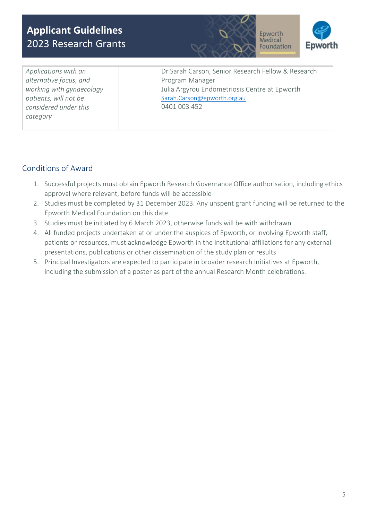



*Applications with an alternative focus, and working with gynaecology patients, will not be considered under this category* 

Dr Sarah Carson, Senior Research Fellow & Research Program Manager Julia Argyrou Endometriosis Centre at Epworth [Sarah.Carson@epworth.org.au](mailto:Sarah.Carson@epworth.org.au)  0401 003 452

## Conditions of Award

- 1. Successful projects must obtain Epworth Research Governance Office authorisation, including ethics approval where relevant, before funds will be accessible
- 2. Studies must be completed by 31 December 2023. Any unspent grant funding will be returned to the Epworth Medical Foundation on this date.
- 3. Studies must be initiated by 6 March 2023, otherwise funds will be with withdrawn
- 4. All funded projects undertaken at or under the auspices of Epworth, or involving Epworth staff, patients or resources, must acknowledge Epworth in the institutional affiliations for any external presentations, publications or other dissemination of the study plan or results
- 5. Principal Investigators are expected to participate in broader research initiatives at Epworth, including the submission of a poster as part of the annual Research Month celebrations.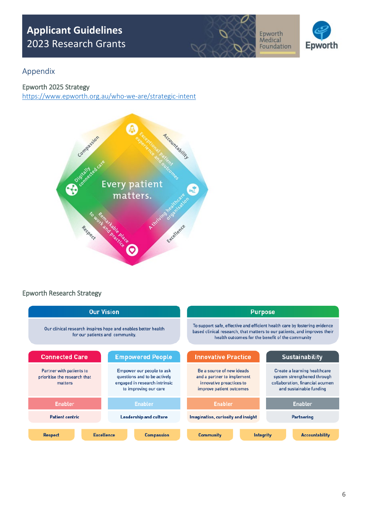



## Appendix

#### Epworth 2025 Strategy

<https://www.epworth.org.au/who-we-are/strategic-intent>



### Epworth Research Strategy